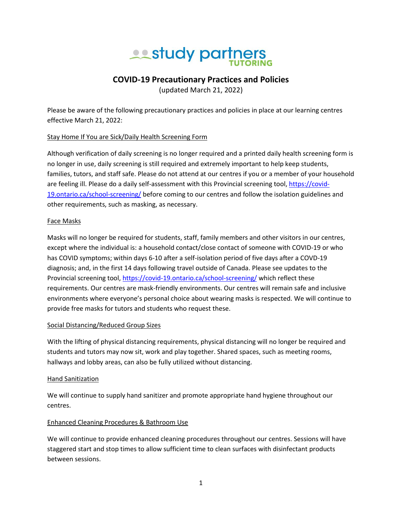# **All study partners**

## **COVID-19 Precautionary Practices and Policies**

(updated March 21, 2022)

Please be aware of the following precautionary practices and policies in place at our learning centres effective March 21, 2022:

#### Stay Home If You are Sick/Daily Health Screening Form

Although verification of daily screening is no longer required and a printed daily health screening form is no longer in use, daily screening is still required and extremely important to help keep students, families, tutors, and staff safe. Please do not attend at our centres if you or a member of your household are feeling ill. Please do a daily self-assessment with this Provincial screening tool, [https://covid-](https://covid-19.ontario.ca/school-screening/)[19.ontario.ca/school-screening/](https://covid-19.ontario.ca/school-screening/) before coming to our centres and follow the isolation guidelines and other requirements, such as masking, as necessary.

#### Face Masks

Masks will no longer be required for students, staff, family members and other visitors in our centres, except where the individual is: a household contact/close contact of someone with COVID-19 or who has COVID symptoms; within days 6-10 after a self-isolation period of five days after a COVD-19 diagnosis; and, in the first 14 days following travel outside of Canada. Please see updates to the Provincial screening tool[, https://covid-19.ontario.ca/school-screening/](https://covid-19.ontario.ca/school-screening/) which reflect these requirements. Our centres are mask-friendly environments. Our centres will remain safe and inclusive environments where everyone's personal choice about wearing masks is respected. We will continue to provide free masks for tutors and students who request these.

#### Social Distancing/Reduced Group Sizes

With the lifting of physical distancing requirements, physical distancing will no longer be required and students and tutors may now sit, work and play together. Shared spaces, such as meeting rooms, hallways and lobby areas, can also be fully utilized without distancing.

#### Hand Sanitization

We will continue to supply hand sanitizer and promote appropriate hand hygiene throughout our centres.

### Enhanced Cleaning Procedures & Bathroom Use

We will continue to provide enhanced cleaning procedures throughout our centres. Sessions will have staggered start and stop times to allow sufficient time to clean surfaces with disinfectant products between sessions.